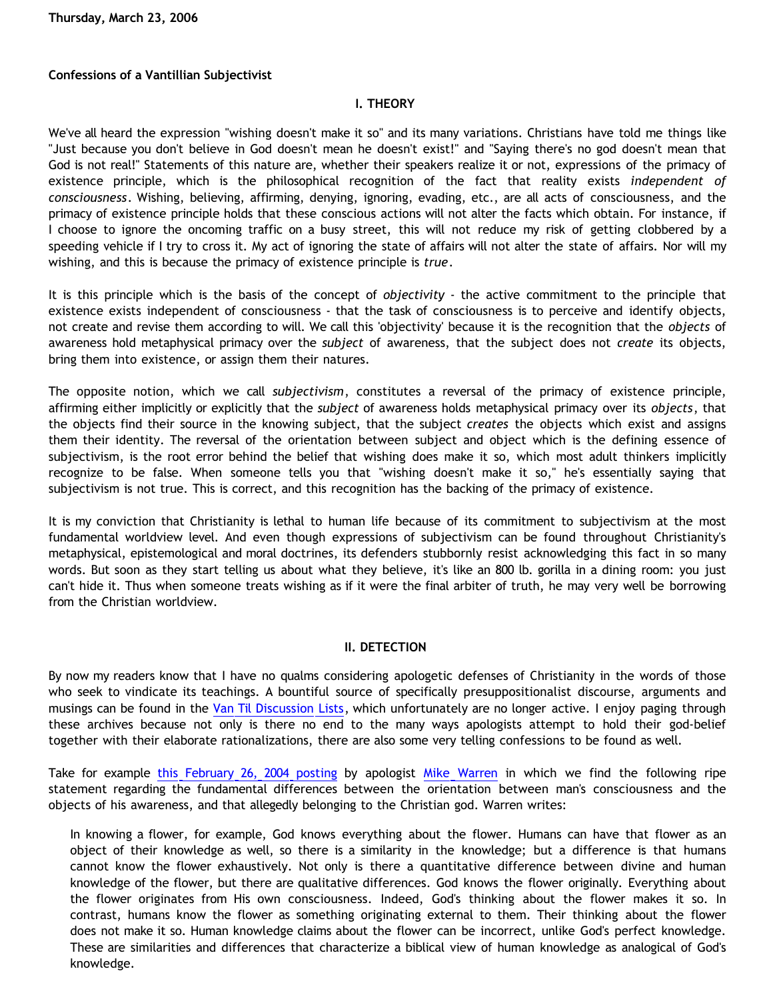**Thursday, March 23, 2006**

# **Confessions of a Vantillian Subjectivist**

# **I. THEORY**

We've all heard the expression "wishing doesn't make it so" and its many variations. Christians have told me things like "Just because you don't believe in God doesn't mean he doesn't exist!" and "Saying there's no god doesn't mean that God is not real!" Statements of this nature are, whether their speakers realize it or not, expressions of the primacy of existence principle, which is the philosophical recognition of the fact that reality exists *independent of consciousness*. Wishing, believing, affirming, denying, ignoring, evading, etc., are all acts of consciousness, and the primacy of existence principle holds that these conscious actions will not alter the facts which obtain. For instance, if I choose to ignore the oncoming traffic on a busy street, this will not reduce my risk of getting clobbered by a speeding vehicle if I try to cross it. My act of ignoring the state of affairs will not alter the state of affairs. Nor will my wishing, and this is because the primacy of existence principle is *true*.

It is this principle which is the basis of the concept of *objectivity* - the active commitment to the principle that existence exists independent of consciousness - that the task of consciousness is to perceive and identify objects, not create and revise them according to will. We call this 'objectivity' because it is the recognition that the *objects* of awareness hold metaphysical primacy over the *subject* of awareness, that the subject does not *create* its objects, bring them into existence, or assign them their natures.

The opposite notion, which we call *subjectivism*, constitutes a reversal of the primacy of existence principle, affirming either implicitly or explicitly that the *subject* of awareness holds metaphysical primacy over its *objects*, that the objects find their source in the knowing subject, that the subject *creates* the objects which exist and assigns them their identity. The reversal of the orientation between subject and object which is the defining essence of subjectivism, is the root error behind the belief that wishing does make it so, which most adult thinkers implicitly recognize to be false. When someone tells you that "wishing doesn't make it so," he's essentially saying that subjectivism is not true. This is correct, and this recognition has the backing of the primacy of existence.

It is my conviction that Christianity is lethal to human life because of its commitment to subjectivism at the most fundamental worldview level. And even though expressions of subjectivism can be found throughout Christianity's metaphysical, epistemological and moral doctrines, its defenders stubbornly resist acknowledging this fact in so many words. But soon as they start telling us about what they believe, it's like an 800 lb. gorilla in a dining room: you just can't hide it. Thus when someone treats wishing as if it were the final arbiter of truth, he may very well be borrowing from the Christian worldview.

## **II. DETECTION**

By now my readers know that I have no qualms considering apologetic defenses of Christianity in the words of those who seek to vindicate its teachings. A bountiful source of specifically presuppositionalist discourse, arguments and musings can be found in the [Van Til Discussion Lists](http://www.vantil.info/lists.html), which unfortunately are no longer active. I enjoy paging through these archives because not only is there no end to the many ways apologists attempt to hold their god-belief together with their elaborate rationalizations, there are also some very telling confessions to be found as well.

Take for example [this February 26, 2004 posting](http://www.ccir.ed.ac.uk/~jad/vantil-list/archive-Feb-2004/msg00020.html) by apologist [Mike Warren](http://www.christianciv.com/) in which we find the following ripe statement regarding the fundamental differences between the orientation between man's consciousness and the objects of his awareness, and that allegedly belonging to the Christian god. Warren writes:

In knowing a flower, for example, God knows everything about the flower. Humans can have that flower as an object of their knowledge as well, so there is a similarity in the knowledge; but a difference is that humans cannot know the flower exhaustively. Not only is there a quantitative difference between divine and human knowledge of the flower, but there are qualitative differences. God knows the flower originally. Everything about the flower originates from His own consciousness. Indeed, God's thinking about the flower makes it so. In contrast, humans know the flower as something originating external to them. Their thinking about the flower does not make it so. Human knowledge claims about the flower can be incorrect, unlike God's perfect knowledge. These are similarities and differences that characterize a biblical view of human knowledge as analogical of God's knowledge.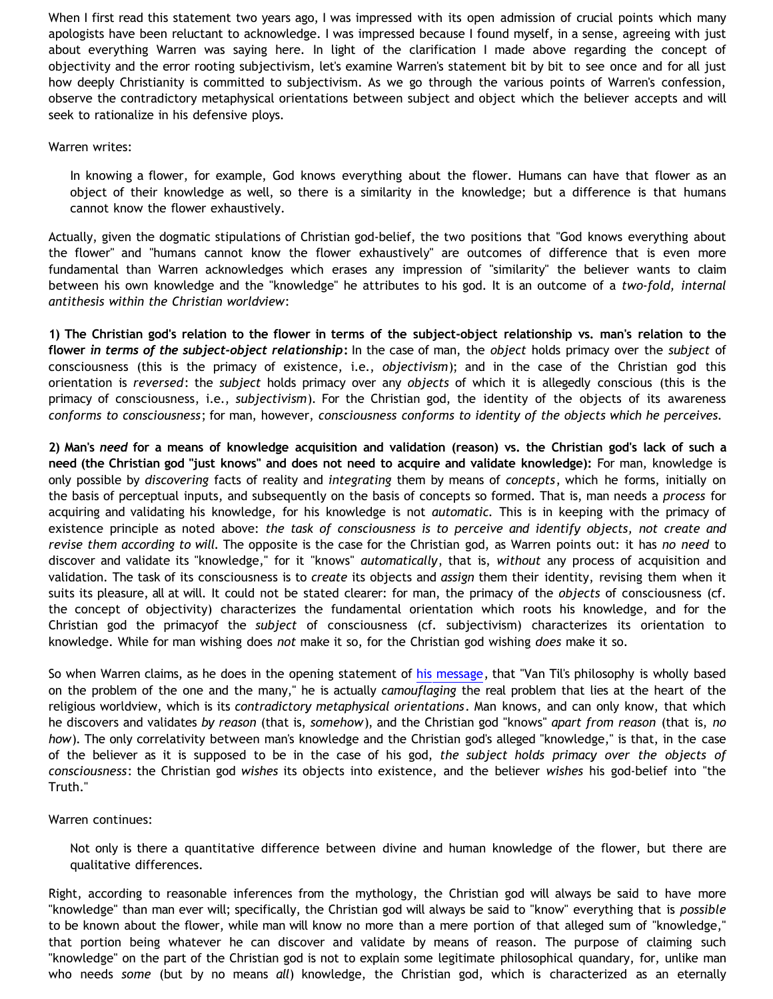When I first read this statement two years ago, I was impressed with its open admission of crucial points which many apologists have been reluctant to acknowledge. I was impressed because I found myself, in a sense, agreeing with just about everything Warren was saying here. In light of the clarification I made above regarding the concept of objectivity and the error rooting subjectivism, let's examine Warren's statement bit by bit to see once and for all just how deeply Christianity is committed to subjectivism. As we go through the various points of Warren's confession, observe the contradictory metaphysical orientations between subject and object which the believer accepts and will seek to rationalize in his defensive ploys.

#### Warren writes:

In knowing a flower, for example, God knows everything about the flower. Humans can have that flower as an object of their knowledge as well, so there is a similarity in the knowledge; but a difference is that humans cannot know the flower exhaustively.

Actually, given the dogmatic stipulations of Christian god-belief, the two positions that "God knows everything about the flower" and "humans cannot know the flower exhaustively" are outcomes of difference that is even more fundamental than Warren acknowledges which erases any impression of "similarity" the believer wants to claim between his own knowledge and the "knowledge" he attributes to his god. It is an outcome of a *two-fold, internal antithesis within the Christian worldview*:

**1) The Christian god's relation to the flower in terms of the subject-object relationship vs. man's relation to the flower** *in terms of the subject-object relationship***:** In the case of man, the *object* holds primacy over the *subject* of consciousness (this is the primacy of existence, i.e., *objectivism*); and in the case of the Christian god this orientation is *reversed*: the *subject* holds primacy over any *objects* of which it is allegedly conscious (this is the primacy of consciousness, i.e., *subjectivism*). For the Christian god, the identity of the objects of its awareness *conforms to consciousness*; for man, however, *consciousness conforms to identity of the objects which he perceives.*

**2) Man's** *need* **for a means of knowledge acquisition and validation (reason) vs. the Christian god's lack of such a need (the Christian god "just knows" and does not need to acquire and validate knowledge):** For man, knowledge is only possible by *discovering* facts of reality and *integrating* them by means of *concepts*, which he forms, initially on the basis of perceptual inputs, and subsequently on the basis of concepts so formed. That is, man needs a *process* for acquiring and validating his knowledge, for his knowledge is not *automatic.* This is in keeping with the primacy of existence principle as noted above: *the task of consciousness is to perceive and identify objects, not create and revise them according to will.* The opposite is the case for the Christian god, as Warren points out: it has *no need* to discover and validate its "knowledge," for it "knows" *automatically*, that is, *without* any process of acquisition and validation. The task of its consciousness is to *create* its objects and *assign* them their identity, revising them when it suits its pleasure, all at will. It could not be stated clearer: for man, the primacy of the *objects* of consciousness (cf. the concept of objectivity) characterizes the fundamental orientation which roots his knowledge, and for the Christian god the primacyof the *subject* of consciousness (cf. subjectivism) characterizes its orientation to knowledge. While for man wishing does *not* make it so, for the Christian god wishing *does* make it so.

So when Warren claims, as he does in the opening statement of [his message,](http://www.ccir.ed.ac.uk/~jad/vantil-list/archive-Feb-2004/msg00020.html) that "Van Til's philosophy is wholly based on the problem of the one and the many," he is actually *camouflaging* the real problem that lies at the heart of the religious worldview, which is its *contradictory metaphysical orientations*. Man knows, and can only know, that which he discovers and validates *by reason* (that is, *somehow*), and the Christian god "knows" *apart from reason* (that is, *no how*). The only correlativity between man's knowledge and the Christian god's alleged "knowledge," is that, in the case of the believer as it is supposed to be in the case of his god, *the subject holds primacy over the objects of consciousness*: the Christian god *wishes* its objects into existence, and the believer *wishes* his god-belief into "the Truth."

Warren continues:

Not only is there a quantitative difference between divine and human knowledge of the flower, but there are qualitative differences.

Right, according to reasonable inferences from the mythology, the Christian god will always be said to have more "knowledge" than man ever will; specifically, the Christian god will always be said to "know" everything that is *possible* to be known about the flower, while man will know no more than a mere portion of that alleged sum of "knowledge," that portion being whatever he can discover and validate by means of reason. The purpose of claiming such "knowledge" on the part of the Christian god is not to explain some legitimate philosophical quandary, for, unlike man who needs *some* (but by no means *all*) knowledge, the Christian god, which is characterized as an eternally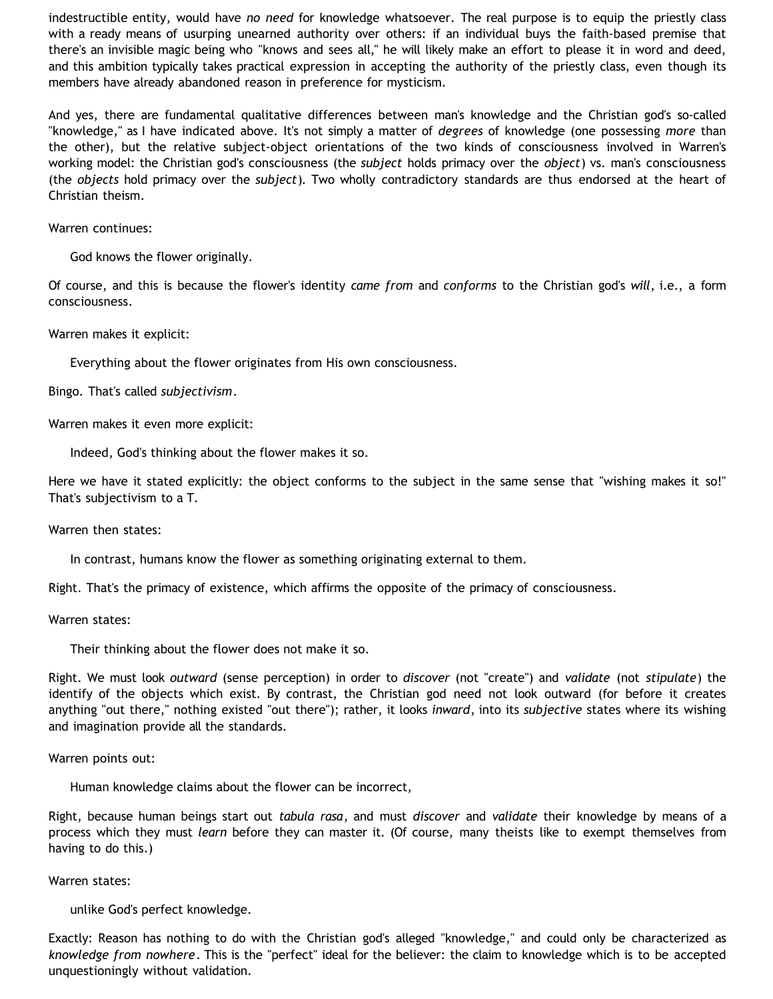indestructible entity, would have *no need* for knowledge whatsoever. The real purpose is to equip the priestly class with a ready means of usurping unearned authority over others: if an individual buys the faith-based premise that there's an invisible magic being who "knows and sees all," he will likely make an effort to please it in word and deed, and this ambition typically takes practical expression in accepting the authority of the priestly class, even though its members have already abandoned reason in preference for mysticism.

And yes, there are fundamental qualitative differences between man's knowledge and the Christian god's so-called "knowledge," as I have indicated above. It's not simply a matter of *degrees* of knowledge (one possessing *more* than the other), but the relative subject-object orientations of the two kinds of consciousness involved in Warren's working model: the Christian god's consciousness (the *subject* holds primacy over the *object*) vs. man's consciousness (the *objects* hold primacy over the *subject*). Two wholly contradictory standards are thus endorsed at the heart of Christian theism.

Warren continues:

God knows the flower originally.

Of course, and this is because the flower's identity *came from* and *conforms* to the Christian god's *will*, i.e., a form consciousness.

Warren makes it explicit:

Everything about the flower originates from His own consciousness.

Bingo. That's called *subjectivism*.

Warren makes it even more explicit:

Indeed, God's thinking about the flower makes it so.

Here we have it stated explicitly: the object conforms to the subject in the same sense that "wishing makes it so!" That's subjectivism to a T.

Warren then states:

In contrast, humans know the flower as something originating external to them.

Right. That's the primacy of existence, which affirms the opposite of the primacy of consciousness.

Warren states:

Their thinking about the flower does not make it so.

Right. We must look *outward* (sense perception) in order to *discover* (not "create") and *validate* (not *stipulate*) the identify of the objects which exist. By contrast, the Christian god need not look outward (for before it creates anything "out there," nothing existed "out there"); rather, it looks *inward*, into its *subjective* states where its wishing and imagination provide all the standards.

Warren points out:

Human knowledge claims about the flower can be incorrect,

Right, because human beings start out *tabula rasa*, and must *discover* and *validate* their knowledge by means of a process which they must *learn* before they can master it. (Of course, many theists like to exempt themselves from having to do this.)

Warren states:

unlike God's perfect knowledge.

Exactly: Reason has nothing to do with the Christian god's alleged "knowledge," and could only be characterized as *knowledge from nowhere*. This is the "perfect" ideal for the believer: the claim to knowledge which is to be accepted unquestioningly without validation.